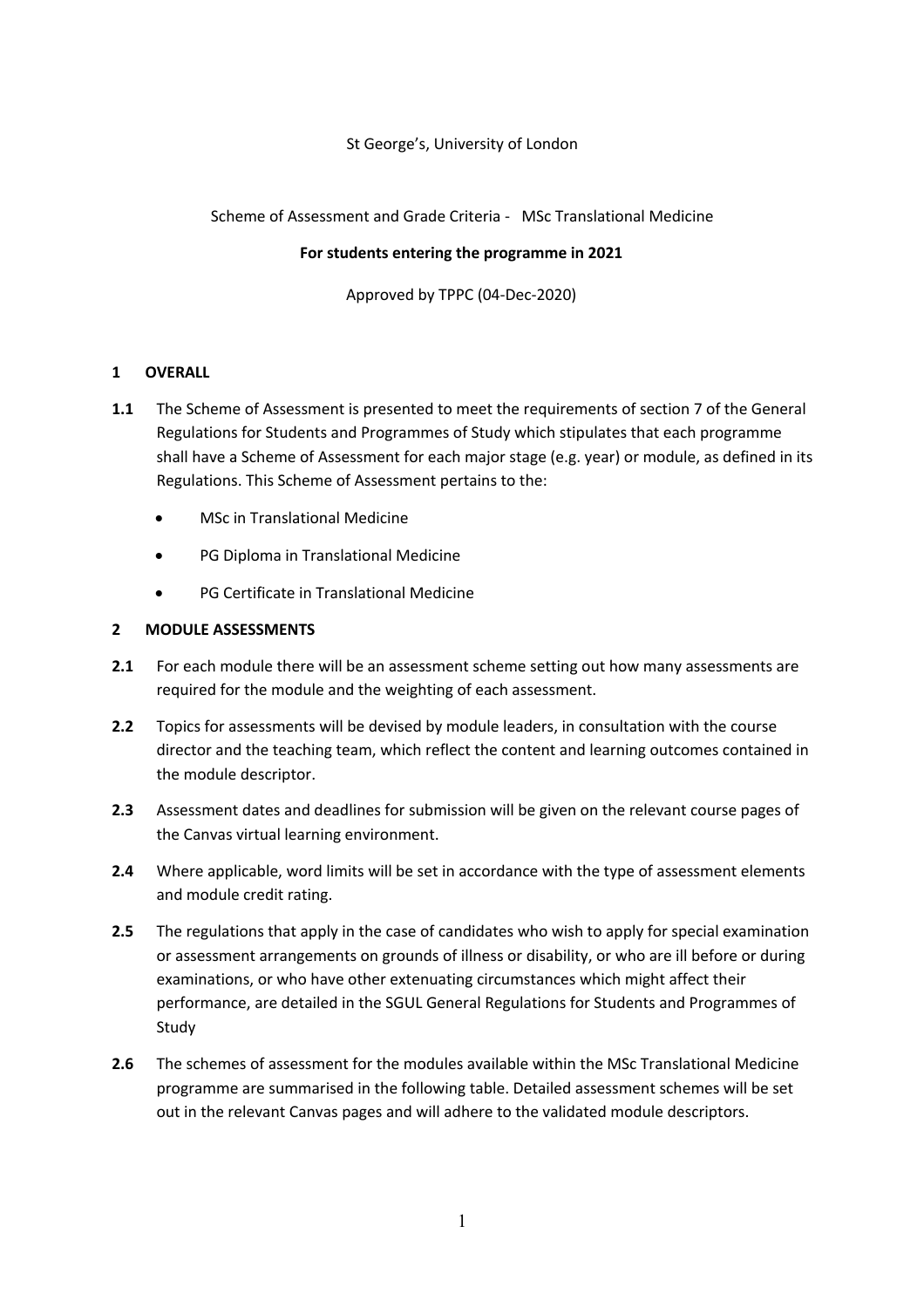### St George's, University of London

Scheme of Assessment and Grade Criteria - MSc Translational Medicine

### **For students entering the programme in 2021**

Approved by TPPC (04-Dec-2020)

# **1 OVERALL**

- **1.1** The Scheme of Assessment is presented to meet the requirements of section 7 of the General Regulations for Students and Programmes of Study which stipulates that each programme shall have a Scheme of Assessment for each major stage (e.g. year) or module, as defined in its Regulations. This Scheme of Assessment pertains to the:
	- MSc in Translational Medicine
	- PG Diploma in Translational Medicine
	- PG Certificate in Translational Medicine

### **2 MODULE ASSESSMENTS**

- **2.1** For each module there will be an assessment scheme setting out how many assessments are required for the module and the weighting of each assessment.
- **2.2** Topics for assessments will be devised by module leaders, in consultation with the course director and the teaching team, which reflect the content and learning outcomes contained in the module descriptor.
- **2.3** Assessment dates and deadlines for submission will be given on the relevant course pages of the Canvas virtual learning environment.
- **2.4** Where applicable, word limits will be set in accordance with the type of assessment elements and module credit rating.
- **2.5** The regulations that apply in the case of candidates who wish to apply for special examination or assessment arrangements on grounds of illness or disability, or who are ill before or during examinations, or who have other extenuating circumstances which might affect their performance, are detailed in the SGUL General Regulations for Students and Programmes of Study
- **2.6** The schemes of assessment for the modules available within the MSc Translational Medicine programme are summarised in the following table. Detailed assessment schemes will be set out in the relevant Canvas pages and will adhere to the validated module descriptors.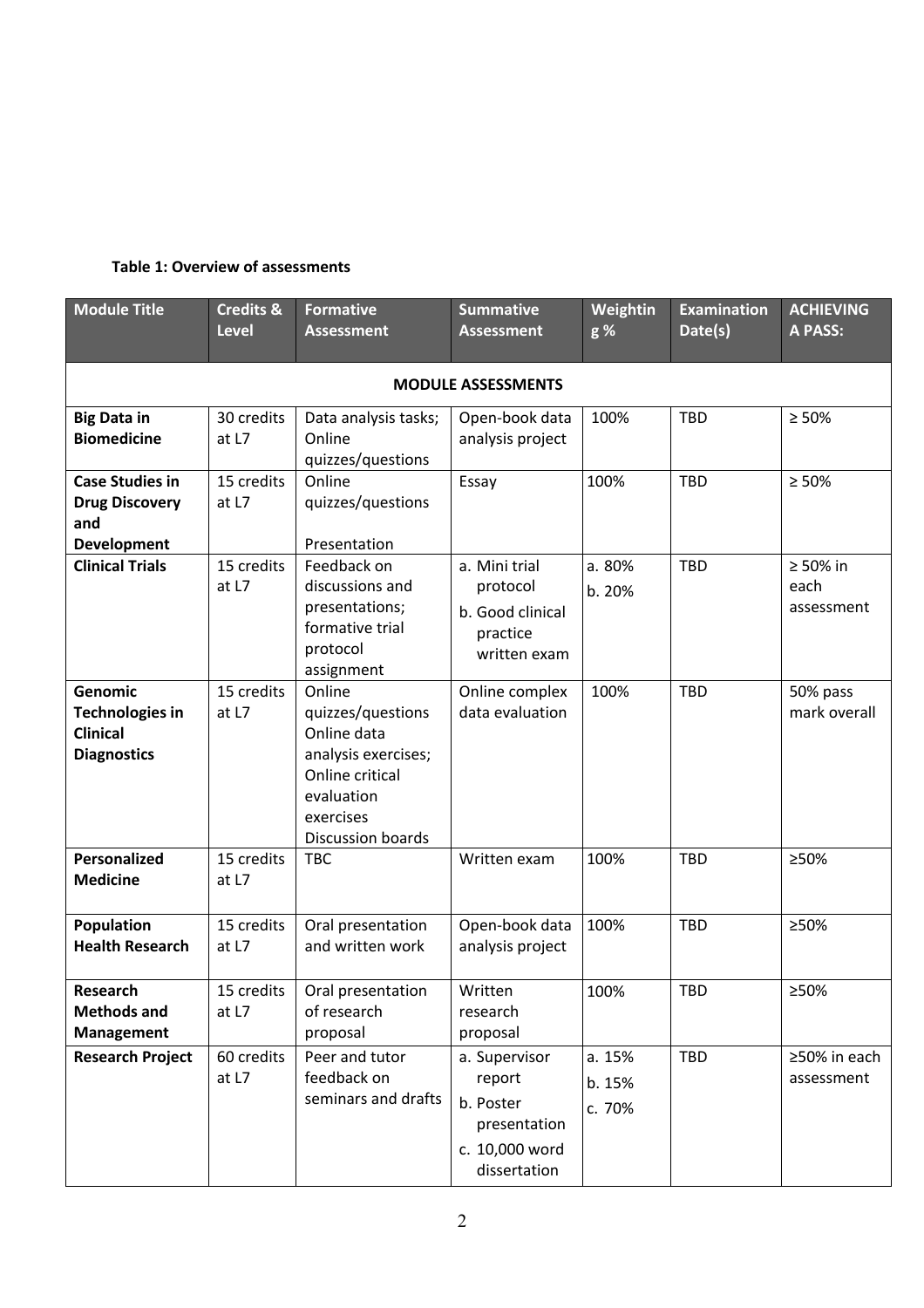### **Table 1: Overview of assessments**

| <b>Module Title</b>                                                               | <b>Credits &amp;</b><br>Level | <b>Formative</b><br><b>Assessment</b>                                                                                                | <b>Summative</b><br><b>Assessment</b>                                                  | Weightin<br>g %            | <b>Examination</b><br>Date(s) | <b>ACHIEVING</b><br>A PASS:          |  |  |  |  |
|-----------------------------------------------------------------------------------|-------------------------------|--------------------------------------------------------------------------------------------------------------------------------------|----------------------------------------------------------------------------------------|----------------------------|-------------------------------|--------------------------------------|--|--|--|--|
| <b>MODULE ASSESSMENTS</b>                                                         |                               |                                                                                                                                      |                                                                                        |                            |                               |                                      |  |  |  |  |
| <b>Big Data in</b><br><b>Biomedicine</b>                                          | 30 credits<br>at L7           | Data analysis tasks;<br>Online<br>quizzes/questions                                                                                  | Open-book data<br>analysis project                                                     | 100%                       | <b>TBD</b>                    | $\geq 50\%$                          |  |  |  |  |
| <b>Case Studies in</b><br><b>Drug Discovery</b><br>and<br><b>Development</b>      | 15 credits<br>at L7           | Online<br>quizzes/questions<br>Presentation                                                                                          | Essay                                                                                  | 100%                       | <b>TBD</b>                    | $\geq 50\%$                          |  |  |  |  |
| <b>Clinical Trials</b>                                                            | 15 credits<br>at L7           | Feedback on<br>discussions and<br>presentations;<br>formative trial<br>protocol<br>assignment                                        | a. Mini trial<br>protocol<br>b. Good clinical<br>practice<br>written exam              | a. 80%<br>b. 20%           | <b>TBD</b>                    | $\geq 50\%$ in<br>each<br>assessment |  |  |  |  |
| <b>Genomic</b><br><b>Technologies in</b><br><b>Clinical</b><br><b>Diagnostics</b> | 15 credits<br>at L7           | Online<br>quizzes/questions<br>Online data<br>analysis exercises;<br>Online critical<br>evaluation<br>exercises<br>Discussion boards | Online complex<br>data evaluation                                                      | 100%                       | <b>TBD</b>                    | 50% pass<br>mark overall             |  |  |  |  |
| Personalized<br><b>Medicine</b>                                                   | 15 credits<br>at L7           | <b>TBC</b>                                                                                                                           | Written exam                                                                           | 100%                       | <b>TBD</b>                    | ≥50%                                 |  |  |  |  |
| Population<br><b>Health Research</b>                                              | 15 credits<br>at L7           | Oral presentation<br>and written work                                                                                                | Open-book data<br>analysis project                                                     | 100%                       | <b>TBD</b>                    | ≥50%                                 |  |  |  |  |
| Research<br><b>Methods and</b><br><b>Management</b>                               | at L7                         | 15 credits   Oral presentation<br>of research<br>proposal                                                                            | Written<br>research<br>proposal                                                        | 100%                       | TBD                           | $\geq 50\%$                          |  |  |  |  |
| <b>Research Project</b>                                                           | 60 credits<br>at L7           | Peer and tutor<br>feedback on<br>seminars and drafts                                                                                 | a. Supervisor<br>report<br>b. Poster<br>presentation<br>c. 10,000 word<br>dissertation | a. 15%<br>b. 15%<br>c. 70% | TBD                           | ≥50% in each<br>assessment           |  |  |  |  |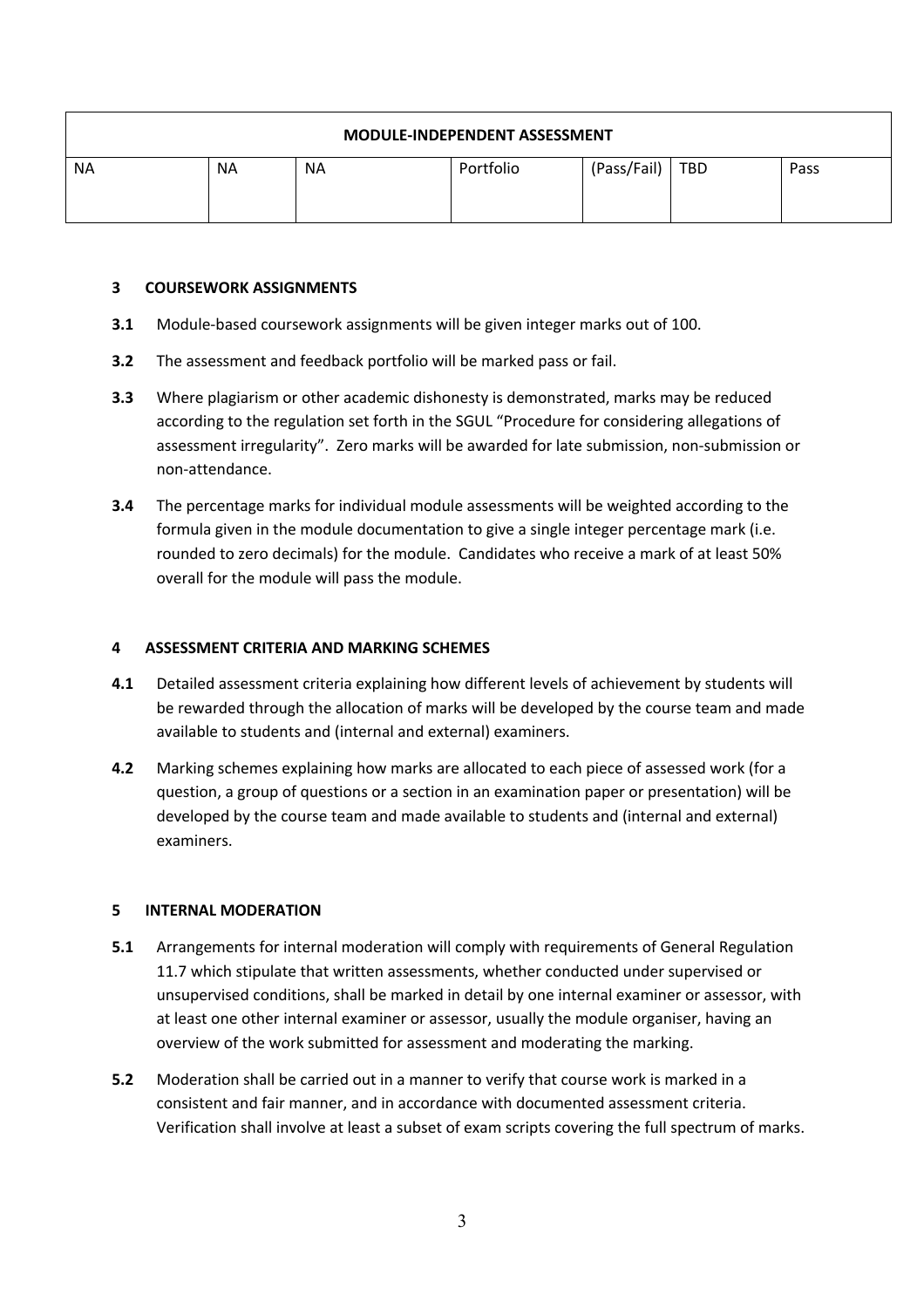| <b>MODULE-INDEPENDENT ASSESSMENT</b> |           |           |           |             |     |      |  |  |  |  |
|--------------------------------------|-----------|-----------|-----------|-------------|-----|------|--|--|--|--|
| <b>NA</b>                            | <b>NA</b> | <b>NA</b> | Portfolio | (Pass/Fail) | TBD | Pass |  |  |  |  |

### **3 COURSEWORK ASSIGNMENTS**

- **3.1** Module-based coursework assignments will be given integer marks out of 100.
- **3.2** The assessment and feedback portfolio will be marked pass or fail.
- **3.3** Where plagiarism or other academic dishonesty is demonstrated, marks may be reduced according to the regulation set forth in the SGUL "Procedure for considering allegations of assessment irregularity". Zero marks will be awarded for late submission, non-submission or non-attendance.
- **3.4** The percentage marks for individual module assessments will be weighted according to the formula given in the module documentation to give a single integer percentage mark (i.e. rounded to zero decimals) for the module. Candidates who receive a mark of at least 50% overall for the module will pass the module.

### **4 ASSESSMENT CRITERIA AND MARKING SCHEMES**

- **4.1** Detailed assessment criteria explaining how different levels of achievement by students will be rewarded through the allocation of marks will be developed by the course team and made available to students and (internal and external) examiners.
- **4.2** Marking schemes explaining how marks are allocated to each piece of assessed work (for a question, a group of questions or a section in an examination paper or presentation) will be developed by the course team and made available to students and (internal and external) examiners.

#### **5 INTERNAL MODERATION**

- **5.1** Arrangements for internal moderation will comply with requirements of General Regulation 11.7 which stipulate that written assessments, whether conducted under supervised or unsupervised conditions, shall be marked in detail by one internal examiner or assessor, with at least one other internal examiner or assessor, usually the module organiser, having an overview of the work submitted for assessment and moderating the marking.
- **5.2** Moderation shall be carried out in a manner to verify that course work is marked in a consistent and fair manner, and in accordance with documented assessment criteria. Verification shall involve at least a subset of exam scripts covering the full spectrum of marks.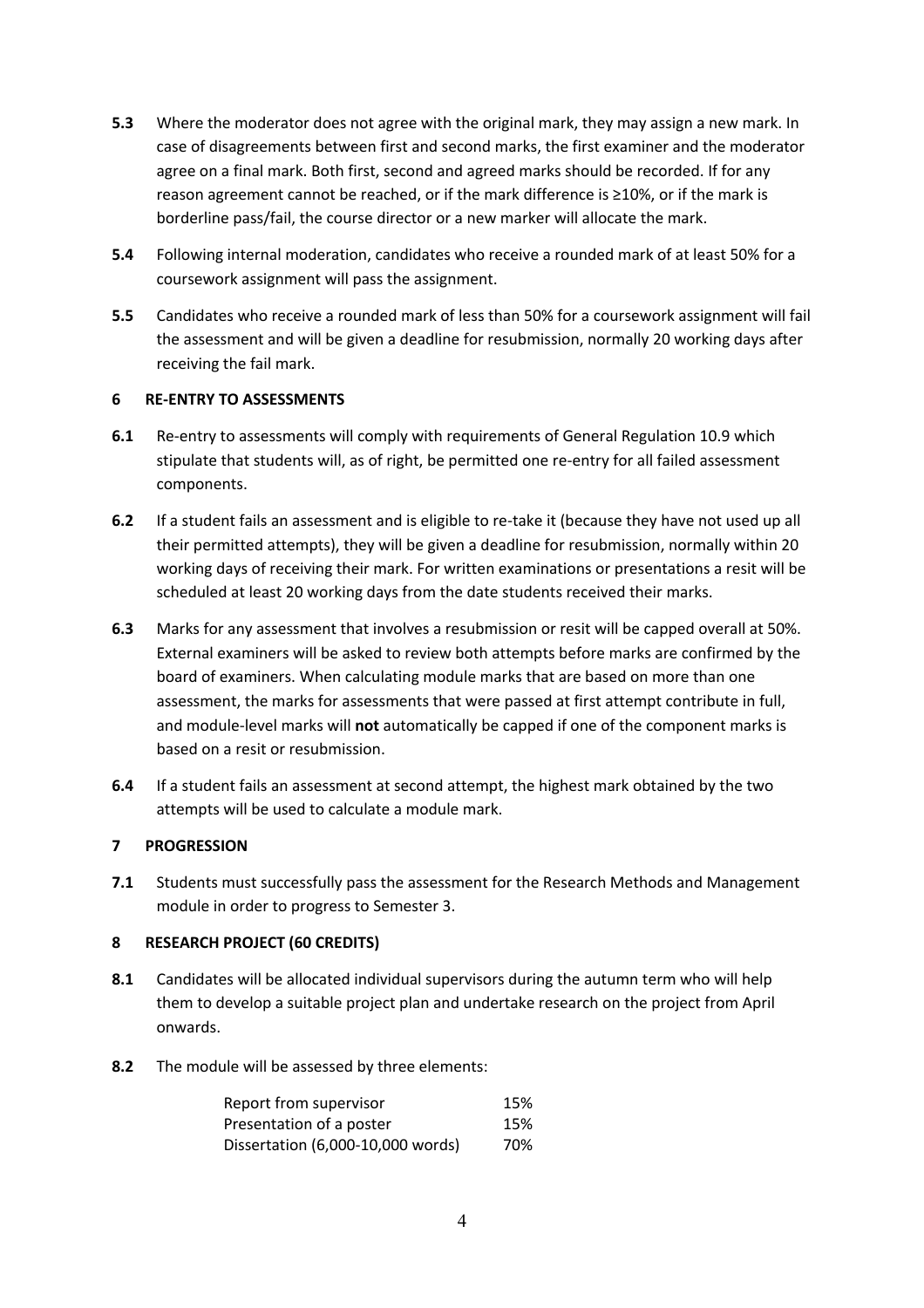- **5.3** Where the moderator does not agree with the original mark, they may assign a new mark. In case of disagreements between first and second marks, the first examiner and the moderator agree on a final mark. Both first, second and agreed marks should be recorded. If for any reason agreement cannot be reached, or if the mark difference is ≥10%, or if the mark is borderline pass/fail, the course director or a new marker will allocate the mark.
- **5.4** Following internal moderation, candidates who receive a rounded mark of at least 50% for a coursework assignment will pass the assignment.
- **5.5** Candidates who receive a rounded mark of less than 50% for a coursework assignment will fail the assessment and will be given a deadline for resubmission, normally 20 working days after receiving the fail mark.

### **6 RE-ENTRY TO ASSESSMENTS**

- **6.1** Re-entry to assessments will comply with requirements of General Regulation 10.9 which stipulate that students will, as of right, be permitted one re-entry for all failed assessment components.
- **6.2** If a student fails an assessment and is eligible to re-take it (because they have not used up all their permitted attempts), they will be given a deadline for resubmission, normally within 20 working days of receiving their mark. For written examinations or presentations a resit will be scheduled at least 20 working days from the date students received their marks.
- **6.3** Marks for any assessment that involves a resubmission or resit will be capped overall at 50%. External examiners will be asked to review both attempts before marks are confirmed by the board of examiners. When calculating module marks that are based on more than one assessment, the marks for assessments that were passed at first attempt contribute in full, and module-level marks will **not** automatically be capped if one of the component marks is based on a resit or resubmission.
- **6.4** If a student fails an assessment at second attempt, the highest mark obtained by the two attempts will be used to calculate a module mark.

# **7 PROGRESSION**

**7.1** Students must successfully pass the assessment for the Research Methods and Management module in order to progress to Semester 3.

# **8 RESEARCH PROJECT (60 CREDITS)**

- **8.1** Candidates will be allocated individual supervisors during the autumn term who will help them to develop a suitable project plan and undertake research on the project from April onwards.
- **8.2** The module will be assessed by three elements:

| Report from supervisor            | 15% |
|-----------------------------------|-----|
| Presentation of a poster          | 15% |
| Dissertation (6,000-10,000 words) | 70% |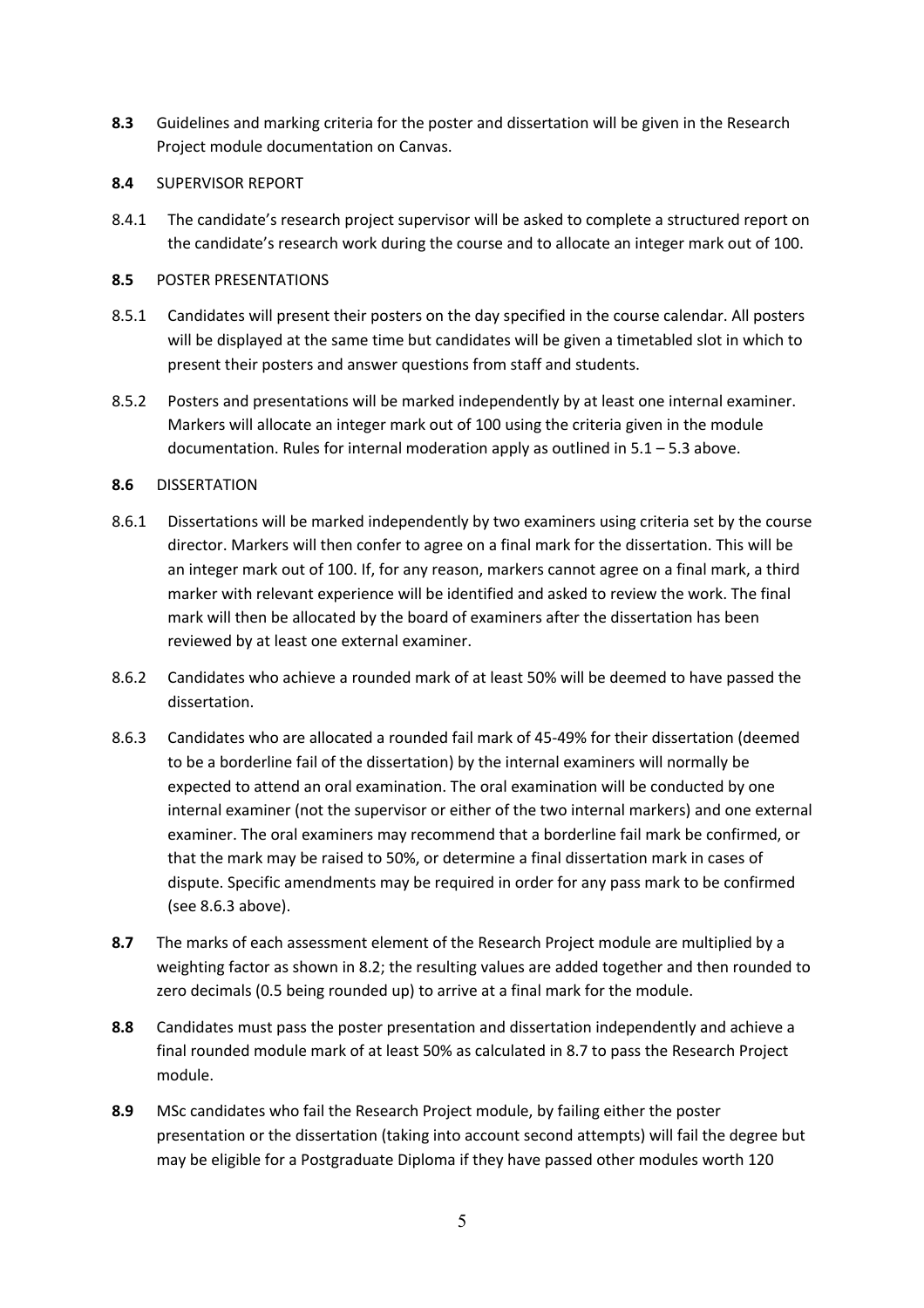- **8.3** Guidelines and marking criteria for the poster and dissertation will be given in the Research Project module documentation on Canvas.
- **8.4** SUPERVISOR REPORT
- 8.4.1 The candidate's research project supervisor will be asked to complete a structured report on the candidate's research work during the course and to allocate an integer mark out of 100.

### **8.5** POSTER PRESENTATIONS

- 8.5.1 Candidates will present their posters on the day specified in the course calendar. All posters will be displayed at the same time but candidates will be given a timetabled slot in which to present their posters and answer questions from staff and students.
- 8.5.2 Posters and presentations will be marked independently by at least one internal examiner. Markers will allocate an integer mark out of 100 using the criteria given in the module documentation. Rules for internal moderation apply as outlined in 5.1 – 5.3 above.

### **8.6** DISSERTATION

- 8.6.1 Dissertations will be marked independently by two examiners using criteria set by the course director. Markers will then confer to agree on a final mark for the dissertation. This will be an integer mark out of 100. If, for any reason, markers cannot agree on a final mark, a third marker with relevant experience will be identified and asked to review the work. The final mark will then be allocated by the board of examiners after the dissertation has been reviewed by at least one external examiner.
- 8.6.2 Candidates who achieve a rounded mark of at least 50% will be deemed to have passed the dissertation.
- 8.6.3 Candidates who are allocated a rounded fail mark of 45-49% for their dissertation (deemed to be a borderline fail of the dissertation) by the internal examiners will normally be expected to attend an oral examination. The oral examination will be conducted by one internal examiner (not the supervisor or either of the two internal markers) and one external examiner. The oral examiners may recommend that a borderline fail mark be confirmed, or that the mark may be raised to 50%, or determine a final dissertation mark in cases of dispute. Specific amendments may be required in order for any pass mark to be confirmed (see 8.6.3 above).
- **8.7** The marks of each assessment element of the Research Project module are multiplied by a weighting factor as shown in 8.2; the resulting values are added together and then rounded to zero decimals (0.5 being rounded up) to arrive at a final mark for the module.
- **8.8** Candidates must pass the poster presentation and dissertation independently and achieve a final rounded module mark of at least 50% as calculated in 8.7 to pass the Research Project module.
- **8.9** MSc candidates who fail the Research Project module, by failing either the poster presentation or the dissertation (taking into account second attempts) will fail the degree but may be eligible for a Postgraduate Diploma if they have passed other modules worth 120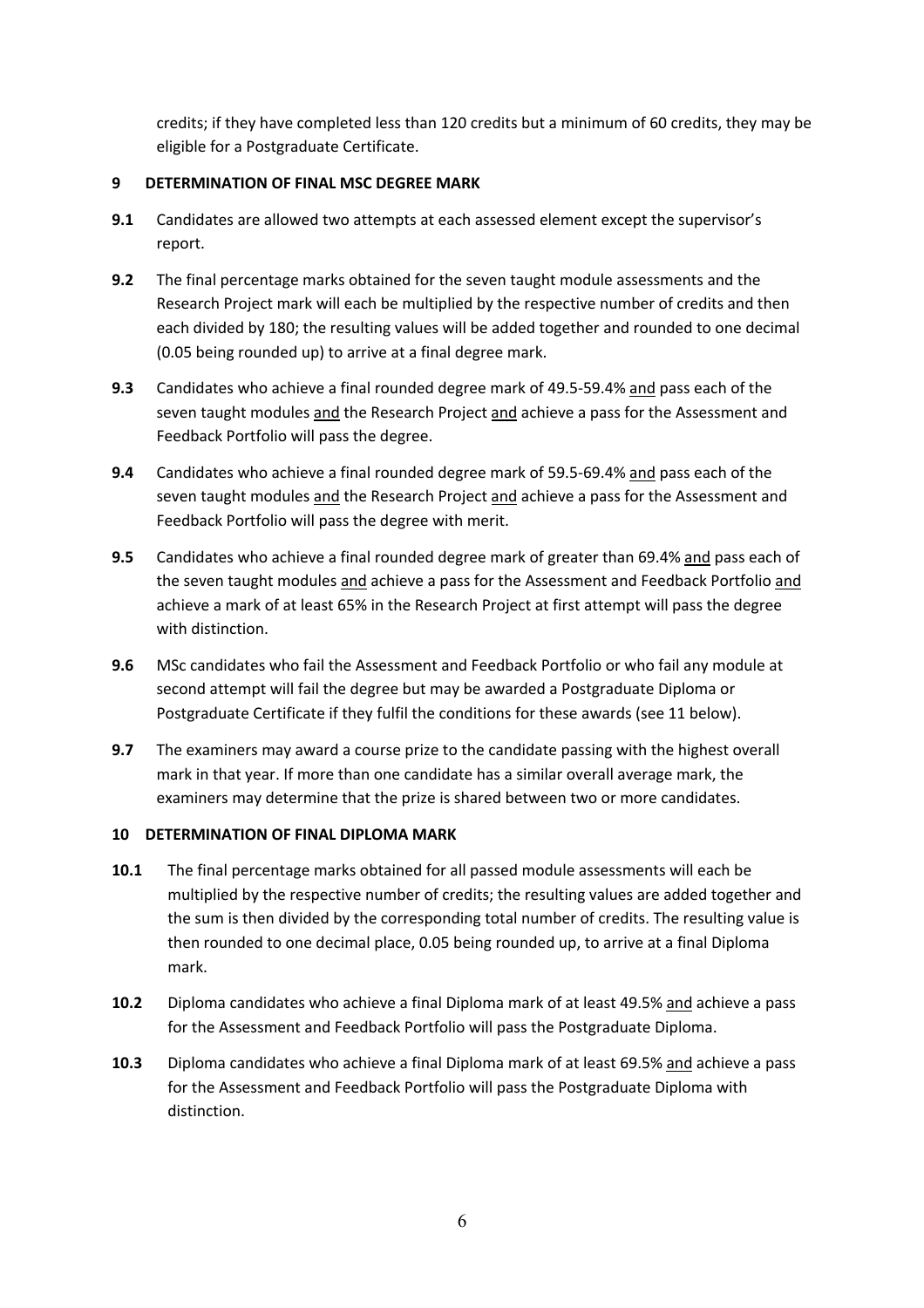credits; if they have completed less than 120 credits but a minimum of 60 credits, they may be eligible for a Postgraduate Certificate.

# **9 DETERMINATION OF FINAL MSC DEGREE MARK**

- **9.1** Candidates are allowed two attempts at each assessed element except the supervisor's report.
- **9.2** The final percentage marks obtained for the seven taught module assessments and the Research Project mark will each be multiplied by the respective number of credits and then each divided by 180; the resulting values will be added together and rounded to one decimal (0.05 being rounded up) to arrive at a final degree mark.
- **9.3** Candidates who achieve a final rounded degree mark of 49.5-59.4% and pass each of the seven taught modules and the Research Project and achieve a pass for the Assessment and Feedback Portfolio will pass the degree.
- **9.4** Candidates who achieve a final rounded degree mark of 59.5-69.4% and pass each of the seven taught modules and the Research Project and achieve a pass for the Assessment and Feedback Portfolio will pass the degree with merit.
- **9.5** Candidates who achieve a final rounded degree mark of greater than 69.4% and pass each of the seven taught modules and achieve a pass for the Assessment and Feedback Portfolio and achieve a mark of at least 65% in the Research Project at first attempt will pass the degree with distinction.
- **9.6** MSc candidates who fail the Assessment and Feedback Portfolio or who fail any module at second attempt will fail the degree but may be awarded a Postgraduate Diploma or Postgraduate Certificate if they fulfil the conditions for these awards (see 11 below).
- **9.7** The examiners may award a course prize to the candidate passing with the highest overall mark in that year. If more than one candidate has a similar overall average mark, the examiners may determine that the prize is shared between two or more candidates.

# **10 DETERMINATION OF FINAL DIPLOMA MARK**

- **10.1** The final percentage marks obtained for all passed module assessments will each be multiplied by the respective number of credits; the resulting values are added together and the sum is then divided by the corresponding total number of credits. The resulting value is then rounded to one decimal place, 0.05 being rounded up, to arrive at a final Diploma mark.
- **10.2** Diploma candidates who achieve a final Diploma mark of at least 49.5% and achieve a pass for the Assessment and Feedback Portfolio will pass the Postgraduate Diploma.
- **10.3** Diploma candidates who achieve a final Diploma mark of at least 69.5% and achieve a pass for the Assessment and Feedback Portfolio will pass the Postgraduate Diploma with distinction.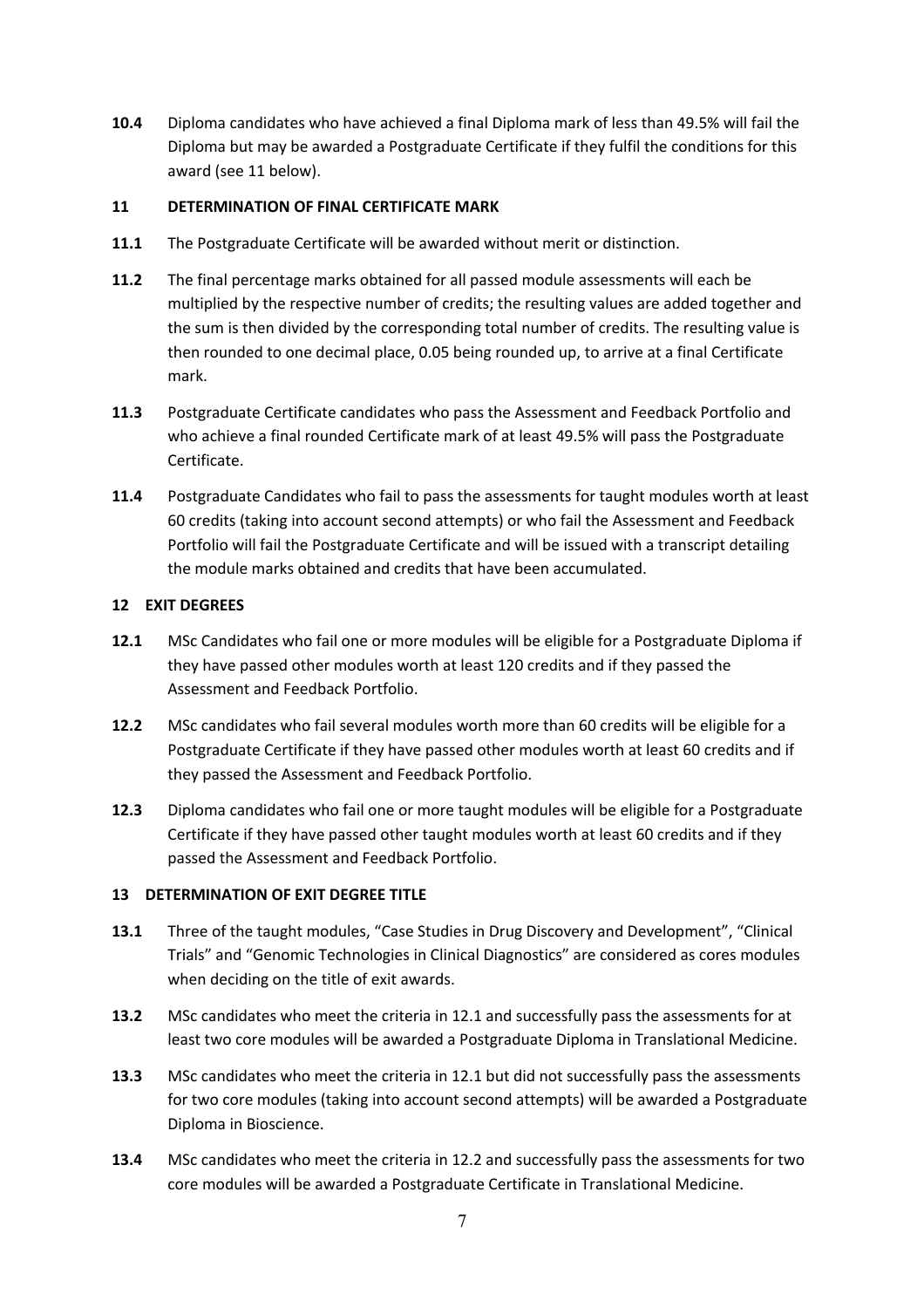**10.4** Diploma candidates who have achieved a final Diploma mark of less than 49.5% will fail the Diploma but may be awarded a Postgraduate Certificate if they fulfil the conditions for this award (see 11 below).

### **11 DETERMINATION OF FINAL CERTIFICATE MARK**

- **11.1** The Postgraduate Certificate will be awarded without merit or distinction.
- **11.2** The final percentage marks obtained for all passed module assessments will each be multiplied by the respective number of credits; the resulting values are added together and the sum is then divided by the corresponding total number of credits. The resulting value is then rounded to one decimal place, 0.05 being rounded up, to arrive at a final Certificate mark.
- **11.3** Postgraduate Certificate candidates who pass the Assessment and Feedback Portfolio and who achieve a final rounded Certificate mark of at least 49.5% will pass the Postgraduate Certificate.
- **11.4** Postgraduate Candidates who fail to pass the assessments for taught modules worth at least 60 credits (taking into account second attempts) or who fail the Assessment and Feedback Portfolio will fail the Postgraduate Certificate and will be issued with a transcript detailing the module marks obtained and credits that have been accumulated.

### **12 EXIT DEGREES**

- **12.1** MSc Candidates who fail one or more modules will be eligible for a Postgraduate Diploma if they have passed other modules worth at least 120 credits and if they passed the Assessment and Feedback Portfolio.
- **12.2** MSc candidates who fail several modules worth more than 60 credits will be eligible for a Postgraduate Certificate if they have passed other modules worth at least 60 credits and if they passed the Assessment and Feedback Portfolio.
- **12.3** Diploma candidates who fail one or more taught modules will be eligible for a Postgraduate Certificate if they have passed other taught modules worth at least 60 credits and if they passed the Assessment and Feedback Portfolio.

# **13 DETERMINATION OF EXIT DEGREE TITLE**

- **13.1** Three of the taught modules, "Case Studies in Drug Discovery and Development", "Clinical Trials" and "Genomic Technologies in Clinical Diagnostics" are considered as cores modules when deciding on the title of exit awards.
- **13.2** MSc candidates who meet the criteria in 12.1 and successfully pass the assessments for at least two core modules will be awarded a Postgraduate Diploma in Translational Medicine.
- **13.3** MSc candidates who meet the criteria in 12.1 but did not successfully pass the assessments for two core modules (taking into account second attempts) will be awarded a Postgraduate Diploma in Bioscience.
- **13.4** MSc candidates who meet the criteria in 12.2 and successfully pass the assessments for two core modules will be awarded a Postgraduate Certificate in Translational Medicine.